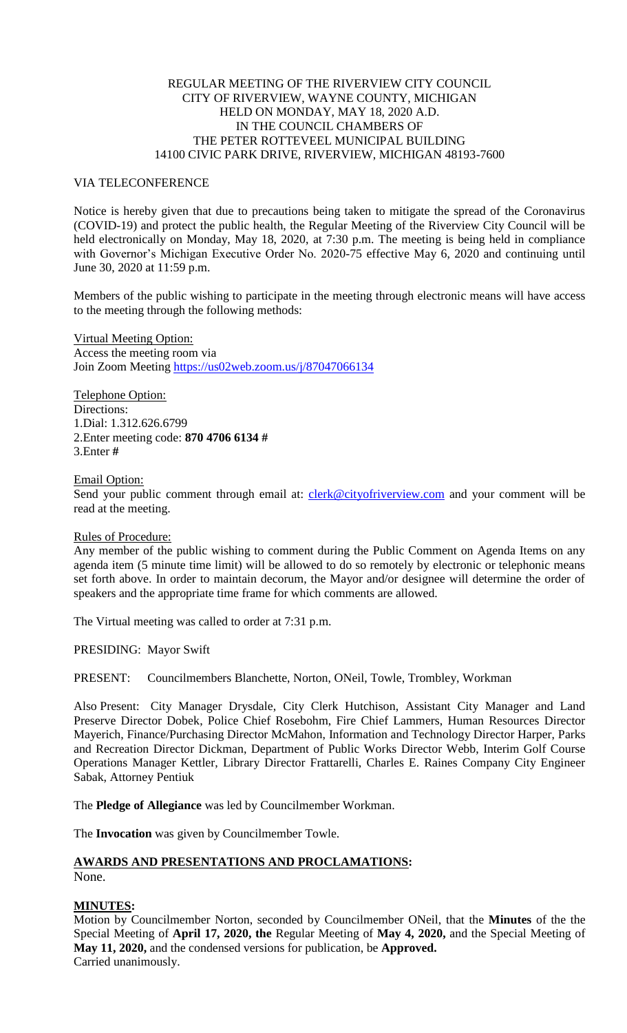## REGULAR MEETING OF THE RIVERVIEW CITY COUNCIL CITY OF RIVERVIEW, WAYNE COUNTY, MICHIGAN HELD ON MONDAY, MAY 18, 2020 A.D. IN THE COUNCIL CHAMBERS OF THE PETER ROTTEVEEL MUNICIPAL BUILDING 14100 CIVIC PARK DRIVE, RIVERVIEW, MICHIGAN 48193-7600

#### VIA TELECONFERENCE

Notice is hereby given that due to precautions being taken to mitigate the spread of the Coronavirus (COVID-19) and protect the public health, the Regular Meeting of the Riverview City Council will be held electronically on Monday, May 18, 2020, at 7:30 p.m. The meeting is being held in compliance with Governor's Michigan Executive Order No. 2020-75 effective May 6, 2020 and continuing until June 30, 2020 at 11:59 p.m.

Members of the public wishing to participate in the meeting through electronic means will have access to the meeting through the following methods:

Virtual Meeting Option:

Access the meeting room via Join Zoom Meeting [https://us02web.zoom.us/j/87047066134](https://www.google.com/url?q=https://us02web.zoom.us/j/87047066134&sa=D&ust=1589905598097000&usg=AOvVaw31fcXEbRv9KvG2Cvta8Ucu)

Telephone Option: Directions: 1.Dial: 1.312.626.6799 2.Enter meeting code: **870 4706 6134 #** 3.Enter **#**

Email Option: Send your public comment through email at: [clerk@cityofriverview.com](mailto:clerk@cityofriverview.com) and your comment will be read at the meeting.

#### Rules of Procedure:

Any member of the public wishing to comment during the Public Comment on Agenda Items on any agenda item (5 minute time limit) will be allowed to do so remotely by electronic or telephonic means set forth above. In order to maintain decorum, the Mayor and/or designee will determine the order of speakers and the appropriate time frame for which comments are allowed.

The Virtual meeting was called to order at 7:31 p.m.

PRESIDING: Mayor Swift

PRESENT: Councilmembers Blanchette, Norton, ONeil, Towle, Trombley, Workman

Also Present: City Manager Drysdale, City Clerk Hutchison, Assistant City Manager and Land Preserve Director Dobek, Police Chief Rosebohm, Fire Chief Lammers, Human Resources Director Mayerich, Finance/Purchasing Director McMahon, Information and Technology Director Harper, Parks and Recreation Director Dickman, Department of Public Works Director Webb, Interim Golf Course Operations Manager Kettler, Library Director Frattarelli, Charles E. Raines Company City Engineer Sabak, Attorney Pentiuk

The **Pledge of Allegiance** was led by Councilmember Workman.

The **Invocation** was given by Councilmember Towle.

#### **AWARDS AND PRESENTATIONS AND PROCLAMATIONS:** None.

## **MINUTES:**

Motion by Councilmember Norton, seconded by Councilmember ONeil, that the **Minutes** of the the Special Meeting of **April 17, 2020, the** Regular Meeting of **May 4, 2020,** and the Special Meeting of **May 11, 2020,** and the condensed versions for publication, be **Approved.** Carried unanimously.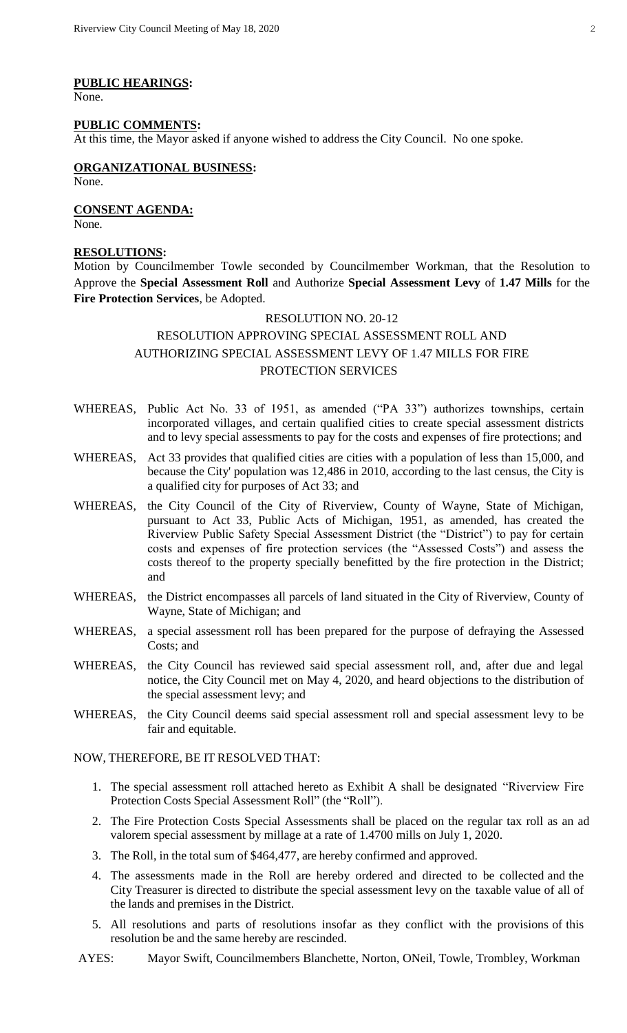# **PUBLIC HEARINGS:**

None.

## **PUBLIC COMMENTS:**

At this time, the Mayor asked if anyone wished to address the City Council. No one spoke.

## **ORGANIZATIONAL BUSINESS:**

None.

**CONSENT AGENDA:** None.

#### **RESOLUTIONS:**

Motion by Councilmember Towle seconded by Councilmember Workman, that the Resolution to Approve the **Special Assessment Roll** and Authorize **Special Assessment Levy** of **1.47 Mills** for the **Fire Protection Services**, be Adopted.

# RESOLUTION NO. 20-12 RESOLUTION APPROVING SPECIAL ASSESSMENT ROLL AND AUTHORIZING SPECIAL ASSESSMENT LEVY OF 1.47 MILLS FOR FIRE PROTECTION SERVICES

- WHEREAS, Public Act No. 33 of 1951, as amended ("PA 33") authorizes townships, certain incorporated villages, and certain qualified cities to create special assessment districts and to levy special assessments to pay for the costs and expenses of fire protections; and
- WHEREAS, Act 33 provides that qualified cities are cities with a population of less than 15,000, and because the City' population was 12,486 in 2010, according to the last census, the City is a qualified city for purposes of Act 33; and
- WHEREAS, the City Council of the City of Riverview, County of Wayne, State of Michigan, pursuant to Act 33, Public Acts of Michigan, 1951, as amended, has created the Riverview Public Safety Special Assessment District (the "District") to pay for certain costs and expenses of fire protection services (the "Assessed Costs") and assess the costs thereof to the property specially benefitted by the fire protection in the District; and
- WHEREAS, the District encompasses all parcels of land situated in the City of Riverview, County of Wayne, State of Michigan; and
- WHEREAS, a special assessment roll has been prepared for the purpose of defraying the Assessed Costs; and
- WHEREAS, the City Council has reviewed said special assessment roll, and, after due and legal notice, the City Council met on May 4, 2020, and heard objections to the distribution of the special assessment levy; and
- WHEREAS, the City Council deems said special assessment roll and special assessment levy to be fair and equitable.

#### NOW, THEREFORE, BE IT RESOLVED THAT:

- 1. The special assessment roll attached hereto as Exhibit A shall be designated "Riverview Fire Protection Costs Special Assessment Roll" (the "Roll").
- 2. The Fire Protection Costs Special Assessments shall be placed on the regular tax roll as an ad valorem special assessment by millage at a rate of 1.4700 mills on July 1, 2020.
- 3. The Roll, in the total sum of \$464,477, are hereby confirmed and approved.
- 4. The assessments made in the Roll are hereby ordered and directed to be collected and the City Treasurer is directed to distribute the special assessment levy on the taxable value of all of the lands and premises in the District.
- 5. All resolutions and parts of resolutions insofar as they conflict with the provisions of this resolution be and the same hereby are rescinded.
- AYES: Mayor Swift, Councilmembers Blanchette, Norton, ONeil, Towle, Trombley, Workman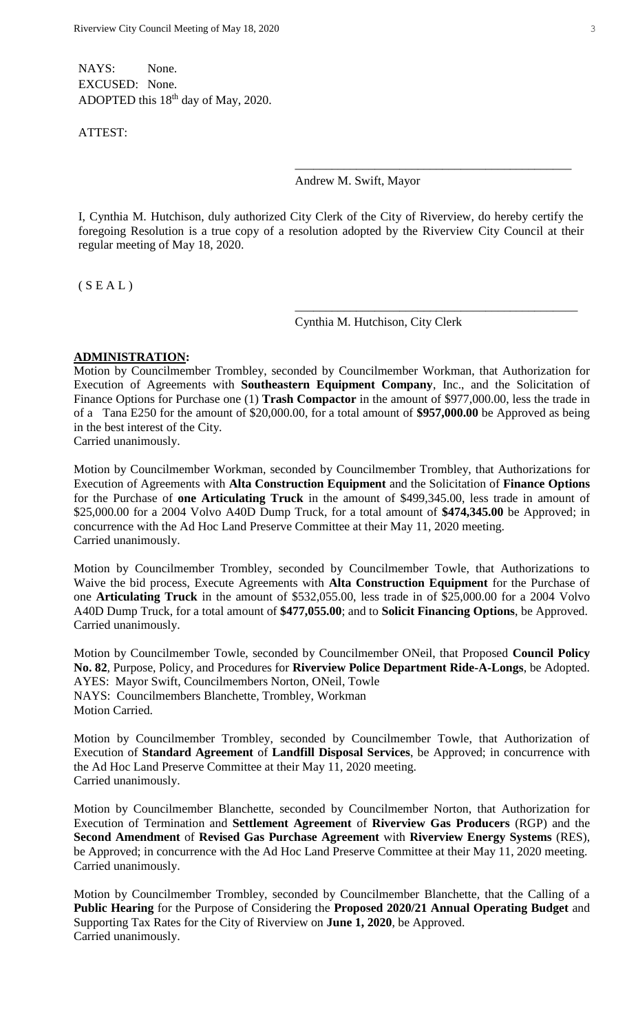NAYS: None. EXCUSED: None. ADOPTED this  $18<sup>th</sup>$  day of May, 2020.

ATTEST:

Andrew M. Swift, Mayor

\_\_\_\_\_\_\_\_\_\_\_\_\_\_\_\_\_\_\_\_\_\_\_\_\_\_\_\_\_\_\_\_\_\_\_\_\_\_\_\_\_\_\_\_\_

\_\_\_\_\_\_\_\_\_\_\_\_\_\_\_\_\_\_\_\_\_\_\_\_\_\_\_\_\_\_\_\_\_\_\_\_\_\_\_\_\_\_\_\_\_\_

I, Cynthia M. Hutchison, duly authorized City Clerk of the City of Riverview, do hereby certify the foregoing Resolution is a true copy of a resolution adopted by the Riverview City Council at their regular meeting of May 18, 2020.

 $(S E A L)$ 

Cynthia M. Hutchison, City Clerk

#### **ADMINISTRATION:**

Motion by Councilmember Trombley, seconded by Councilmember Workman, that Authorization for Execution of Agreements with **Southeastern Equipment Company**, Inc., and the Solicitation of Finance Options for Purchase one (1) **Trash Compactor** in the amount of \$977,000.00, less the trade in of a Tana E250 for the amount of \$20,000.00, for a total amount of **\$957,000.00** be Approved as being in the best interest of the City.

Carried unanimously.

Motion by Councilmember Workman, seconded by Councilmember Trombley, that Authorizations for Execution of Agreements with **Alta Construction Equipment** and the Solicitation of **Finance Options** for the Purchase of **one Articulating Truck** in the amount of \$499,345.00, less trade in amount of \$25,000.00 for a 2004 Volvo A40D Dump Truck, for a total amount of **\$474,345.00** be Approved; in concurrence with the Ad Hoc Land Preserve Committee at their May 11, 2020 meeting. Carried unanimously.

Motion by Councilmember Trombley, seconded by Councilmember Towle, that Authorizations to Waive the bid process, Execute Agreements with **Alta Construction Equipment** for the Purchase of one **Articulating Truck** in the amount of \$532,055.00, less trade in of \$25,000.00 for a 2004 Volvo A40D Dump Truck, for a total amount of **\$477,055.00**; and to **Solicit Financing Options**, be Approved. Carried unanimously.

Motion by Councilmember Towle, seconded by Councilmember ONeil, that Proposed **Council Policy No. 82**, Purpose, Policy, and Procedures for **Riverview Police Department Ride-A-Longs**, be Adopted. AYES: Mayor Swift, Councilmembers Norton, ONeil, Towle NAYS: Councilmembers Blanchette, Trombley, Workman Motion Carried.

Motion by Councilmember Trombley, seconded by Councilmember Towle, that Authorization of Execution of **Standard Agreement** of **Landfill Disposal Services**, be Approved; in concurrence with the Ad Hoc Land Preserve Committee at their May 11, 2020 meeting. Carried unanimously.

Motion by Councilmember Blanchette, seconded by Councilmember Norton, that Authorization for Execution of Termination and **Settlement Agreement** of **Riverview Gas Producers** (RGP) and the **Second Amendment** of **Revised Gas Purchase Agreement** with **Riverview Energy Systems** (RES), be Approved; in concurrence with the Ad Hoc Land Preserve Committee at their May 11, 2020 meeting. Carried unanimously.

Motion by Councilmember Trombley, seconded by Councilmember Blanchette, that the Calling of a **Public Hearing** for the Purpose of Considering the **Proposed 2020/21 Annual Operating Budget** and Supporting Tax Rates for the City of Riverview on **June 1, 2020**, be Approved. Carried unanimously.